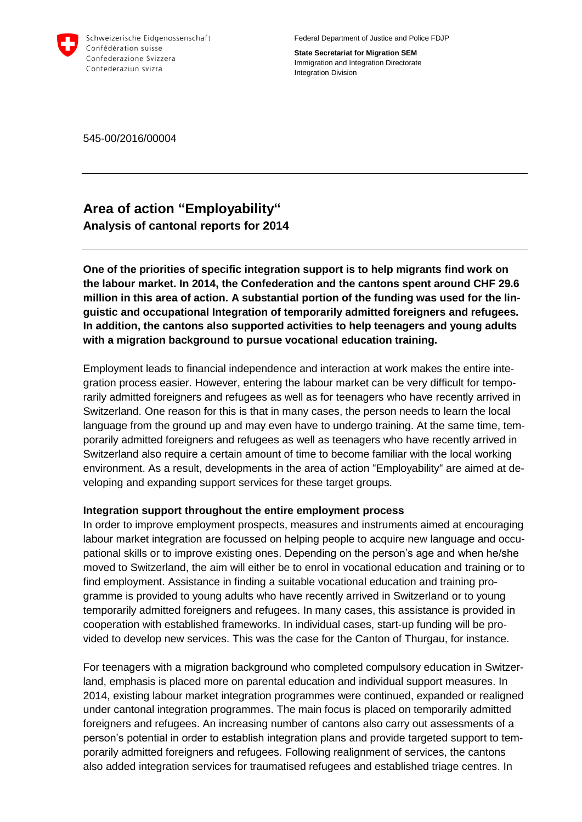

Federal Department of Justice and Police FDJP

**State Secretariat for Migration SEM** Immigration and Integration Directorate Integration Division

545-00/2016/00004

# **Area of action "Employability" Analysis of cantonal reports for 2014**

**One of the priorities of specific integration support is to help migrants find work on the labour market. In 2014, the Confederation and the cantons spent around CHF 29.6 million in this area of action. A substantial portion of the funding was used for the linguistic and occupational Integration of temporarily admitted foreigners and refugees. In addition, the cantons also supported activities to help teenagers and young adults with a migration background to pursue vocational education training.**

Employment leads to financial independence and interaction at work makes the entire integration process easier. However, entering the labour market can be very difficult for temporarily admitted foreigners and refugees as well as for teenagers who have recently arrived in Switzerland. One reason for this is that in many cases, the person needs to learn the local language from the ground up and may even have to undergo training. At the same time, temporarily admitted foreigners and refugees as well as teenagers who have recently arrived in Switzerland also require a certain amount of time to become familiar with the local working environment. As a result, developments in the area of action "Employability" are aimed at developing and expanding support services for these target groups.

## **Integration support throughout the entire employment process**

In order to improve employment prospects, measures and instruments aimed at encouraging labour market integration are focussed on helping people to acquire new language and occupational skills or to improve existing ones. Depending on the person's age and when he/she moved to Switzerland, the aim will either be to enrol in vocational education and training or to find employment. Assistance in finding a suitable vocational education and training programme is provided to young adults who have recently arrived in Switzerland or to young temporarily admitted foreigners and refugees. In many cases, this assistance is provided in cooperation with established frameworks. In individual cases, start-up funding will be provided to develop new services. This was the case for the Canton of Thurgau, for instance.

For teenagers with a migration background who completed compulsory education in Switzerland, emphasis is placed more on parental education and individual support measures. In 2014, existing labour market integration programmes were continued, expanded or realigned under cantonal integration programmes. The main focus is placed on temporarily admitted foreigners and refugees. An increasing number of cantons also carry out assessments of a person's potential in order to establish integration plans and provide targeted support to temporarily admitted foreigners and refugees. Following realignment of services, the cantons also added integration services for traumatised refugees and established triage centres. In